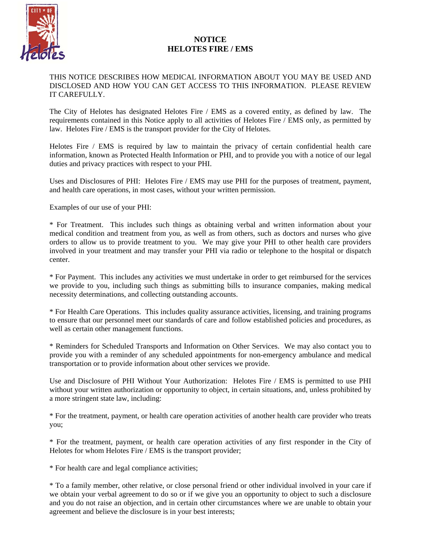

## **NOTICE HELOTES FIRE / EMS**

## THIS NOTICE DESCRIBES HOW MEDICAL INFORMATION ABOUT YOU MAY BE USED AND DISCLOSED AND HOW YOU CAN GET ACCESS TO THIS INFORMATION. PLEASE REVIEW IT CAREFULLY.

The City of Helotes has designated Helotes Fire / EMS as a covered entity, as defined by law. The requirements contained in this Notice apply to all activities of Helotes Fire / EMS only, as permitted by law. Helotes Fire / EMS is the transport provider for the City of Helotes.

Helotes Fire / EMS is required by law to maintain the privacy of certain confidential health care information, known as Protected Health Information or PHI, and to provide you with a notice of our legal duties and privacy practices with respect to your PHI.

Uses and Disclosures of PHI: Helotes Fire / EMS may use PHI for the purposes of treatment, payment, and health care operations, in most cases, without your written permission.

Examples of our use of your PHI:

\* For Treatment. This includes such things as obtaining verbal and written information about your medical condition and treatment from you, as well as from others, such as doctors and nurses who give orders to allow us to provide treatment to you. We may give your PHI to other health care providers involved in your treatment and may transfer your PHI via radio or telephone to the hospital or dispatch center.

\* For Payment. This includes any activities we must undertake in order to get reimbursed for the services we provide to you, including such things as submitting bills to insurance companies, making medical necessity determinations, and collecting outstanding accounts.

\* For Health Care Operations. This includes quality assurance activities, licensing, and training programs to ensure that our personnel meet our standards of care and follow established policies and procedures, as well as certain other management functions.

\* Reminders for Scheduled Transports and Information on Other Services. We may also contact you to provide you with a reminder of any scheduled appointments for non-emergency ambulance and medical transportation or to provide information about other services we provide.

Use and Disclosure of PHI Without Your Authorization: Helotes Fire / EMS is permitted to use PHI without your written authorization or opportunity to object, in certain situations, and, unless prohibited by a more stringent state law, including:

\* For the treatment, payment, or health care operation activities of another health care provider who treats you;

\* For the treatment, payment, or health care operation activities of any first responder in the City of Helotes for whom Helotes Fire / EMS is the transport provider;

\* For health care and legal compliance activities;

\* To a family member, other relative, or close personal friend or other individual involved in your care if we obtain your verbal agreement to do so or if we give you an opportunity to object to such a disclosure and you do not raise an objection, and in certain other circumstances where we are unable to obtain your agreement and believe the disclosure is in your best interests;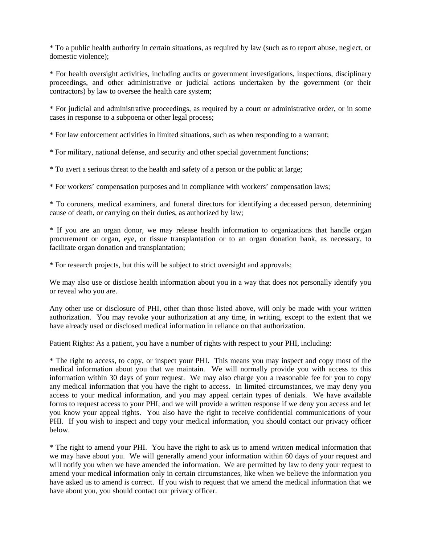\* To a public health authority in certain situations, as required by law (such as to report abuse, neglect, or domestic violence);

\* For health oversight activities, including audits or government investigations, inspections, disciplinary proceedings, and other administrative or judicial actions undertaken by the government (or their contractors) by law to oversee the health care system;

\* For judicial and administrative proceedings, as required by a court or administrative order, or in some cases in response to a subpoena or other legal process;

\* For law enforcement activities in limited situations, such as when responding to a warrant;

\* For military, national defense, and security and other special government functions;

\* To avert a serious threat to the health and safety of a person or the public at large;

\* For workers' compensation purposes and in compliance with workers' compensation laws;

\* To coroners, medical examiners, and funeral directors for identifying a deceased person, determining cause of death, or carrying on their duties, as authorized by law;

\* If you are an organ donor, we may release health information to organizations that handle organ procurement or organ, eye, or tissue transplantation or to an organ donation bank, as necessary, to facilitate organ donation and transplantation;

\* For research projects, but this will be subject to strict oversight and approvals;

We may also use or disclose health information about you in a way that does not personally identify you or reveal who you are.

Any other use or disclosure of PHI, other than those listed above, will only be made with your written authorization. You may revoke your authorization at any time, in writing, except to the extent that we have already used or disclosed medical information in reliance on that authorization.

Patient Rights: As a patient, you have a number of rights with respect to your PHI, including:

\* The right to access, to copy, or inspect your PHI. This means you may inspect and copy most of the medical information about you that we maintain. We will normally provide you with access to this information within 30 days of your request. We may also charge you a reasonable fee for you to copy any medical information that you have the right to access. In limited circumstances, we may deny you access to your medical information, and you may appeal certain types of denials. We have available forms to request access to your PHI, and we will provide a written response if we deny you access and let you know your appeal rights. You also have the right to receive confidential communications of your PHI. If you wish to inspect and copy your medical information, you should contact our privacy officer below.

\* The right to amend your PHI. You have the right to ask us to amend written medical information that we may have about you. We will generally amend your information within 60 days of your request and will notify you when we have amended the information. We are permitted by law to deny your request to amend your medical information only in certain circumstances, like when we believe the information you have asked us to amend is correct. If you wish to request that we amend the medical information that we have about you, you should contact our privacy officer.